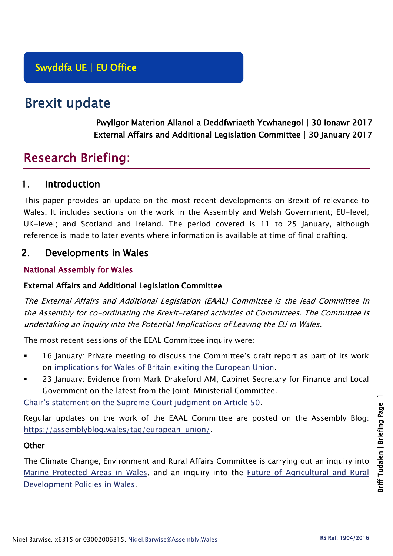# Brexit update

Pwyllgor Materion Allanol a Deddfwriaeth Ycwhanegol | 30 Ionawr 2017 External Affairs and Additional Legislation Committee | 30 January 2017

# Research Briefing:

# 1. Introduction

This paper provides an update on the most recent developments on Brexit of relevance to Wales. It includes sections on the work in the Assembly and Welsh Government; EU-level; UK-level; and Scotland and Ireland. The period covered is 11 to 25 January, although reference is made to later events where information is available at time of final drafting.

# 2. Developments in Wales

## National Assembly for Wales

## External Affairs and Additional Legislation Committee

The External Affairs and Additional Legislation (EAAL) Committee is the lead Committee in the Assembly for co-ordinating the Brexit-related activities of Committees. The Committee is undertaking an inquiry into the Potential Implications of Leaving the EU in Wales.

The most recent sessions of the EEAL Committee inquiry were:

- 16 January: Private meeting to discuss the Committee's draft report as part of its work on [implications for Wales of Britain exiting the European Union.](http://senedd.assembly.wales/mgConsultationDisplay.aspx?id=231&RPID=886050&cp=yes)
- 23 January: Evidence from Mark Drakeford AM, Cabinet Secretary for Finance and Local Government on the latest from the Joint-Ministerial Committee.

[Chair's statement on the Supreme Court judgment on Article 50](http://www.assembly.wales/en/newhome/pages/newsitem.aspx?itemid=1672).

Regular updates on the work of the EAAL Committee are posted on the Assembly Blog: [https://assemblyblog.wales/tag/european-union/.](https://assemblyblog.wales/tag/european-union/)

## **Other**

The Climate Change, Environment and Rural Affairs Committee is carrying out an inquiry into [Marine Protected Areas in Wales,](http://senedd.assembly.wales/mgIssueHistoryHome.aspx?IId=16663) and an inquiry into the [Future of Agricultural and Rural](http://senedd.assembly.wales/mgIssueHistoryHome.aspx?IId=15876)  [Development Policies in Wales.](http://senedd.assembly.wales/mgIssueHistoryHome.aspx?IId=15876)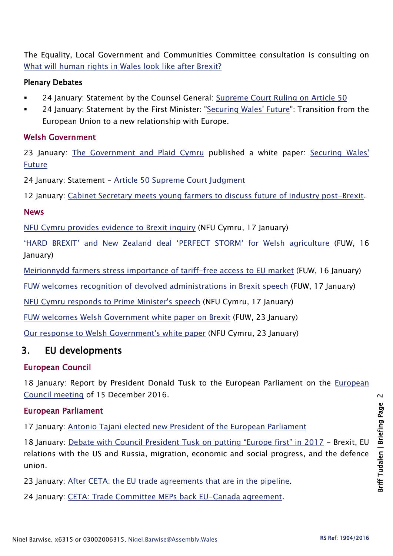The Equality, Local Government and Communities Committee consultation is consulting on [What will human rights in Wales look like after Brexit?](http://senedd.assembly.wales/mgConsultationDisplay.aspx?id=244&RPID=1008299204&cp=yes)

## Plenary Debates

- 24 January: Statement by the Counsel General: [Supreme Court Ruling on Article 50](http://www.assembly.wales/en/bus-home/pages/rop.aspx?meetingid=4077&assembly=5&c=Record%20of%20Proceedings#453523)
- 24 January: Statement by the First Minister: ["Securing Wales' Future"](http://www.assembly.wales/en/bus-home/pages/rop.aspx?meetingid=4077&assembly=5&c=Record%20of%20Proceedings#453598): Transition from the European Union to a new relationship with Europe.

## Welsh Government

23 January: [The Government](http://gov.wales/newsroom/firstminister/2017/170123-brexit-plan/?lang=en) and Plaid Cymru published a white paper: [Securing Wales'](https://beta.gov.wales/sites/default/files/2017-01/30683%20Securing%20Wales%C2%B9%20Future_ENGLISH_WEB.pdf)  [Future](https://beta.gov.wales/sites/default/files/2017-01/30683%20Securing%20Wales%C2%B9%20Future_ENGLISH_WEB.pdf)

24 January: Statement - [Article 50 Supreme Court Judgment](http://gov.wales/newsroom/firstminister/2017/170124article50/?lang=en)

12 January: [Cabinet Secretary meets young farmers to discuss future of industry post-Brexit.](http://gov.wales/newsroom/environmentandcountryside/2017/170112-cabinet-secretary-meets-young-farmers-to-discuss-future-of-industry-post-brexit/?lang=en)

#### News

[NFU Cymru provides evidence to Brexit inquiry](https://www.nfu-cymru.org.uk/news/latest-news/nfu-cymru-provides-evidence-to-brexit-inquiry/) (NFU Cymru, 17 January)

['HARD BREXIT' and New Zealand deal 'PERFECT STORM' for Welsh agriculture](http://fuw.org.uk/hard-brexit-and-new-zealand-deal-perfect-storm-for-welsh-agriculture/) (FUW, 16 January)

[Meirionnydd farmers stress importance of tariff-free access to EU market](http://fuw.org.uk/meirionnydd-farmers-stress-importance-of-tariff-free-access-to-eu-market/) (FUW, 16 January)

[FUW welcomes recognition of devolved administrations in Brexit speech](http://fuw.org.uk/fuw-welcomes-recognition-of-devolved-administrations-in-brexit-speech/) (FUW, 17 January)

[NFU Cymru responds to Prime Minister's speech](https://www.nfu-cymru.org.uk/news/latest-news/nfu-cymru-responds-to-prime-ministers-speech/) (NFU Cymru, 17 January)

[FUW welcomes Welsh Government white paper on Brexit](http://fuw.org.uk/fuw-welcomes-welsh-government-white-paper-on-brexit/) (FUW, 23 January)

[Our response to Welsh Government's white paper](https://www.nfu-cymru.org.uk/news/latest-news/our-response-to-welsh-governments-white-paper/) (NFU Cymru, 23 January)

# 3. EU developments

## European Council

18 January: Report by President Donald Tusk to the European Parliament on the [European](http://www.consilium.europa.eu/en/press/press-releases/2017/01/18-tusk-report-european-parliament/)  [Council meeting](http://www.consilium.europa.eu/en/press/press-releases/2017/01/18-tusk-report-european-parliament/) of 15 December 2016.

## European Parliament

17 January: [Antonio Tajani elected new President of the European Parliament](http://www.europarl.europa.eu/news/en/news-room/20170113IPR58026/antonio-tajani-elected-new-president-of-the-european-parliament)

18 January: [Debate with Council President Tusk on putting "Europe first" in 2017](http://www.europarl.europa.eu/news/en/news-room/20170113IPR58029/debate-with-council-president-tusk-on-putting-%E2%80%9Ceurope-first%E2%80%9D-in-2017) - Brexit, EU relations with the US and Russia, migration, economic and social progress, and the defence union.

23 January: [After CETA: the EU trade agreements that are in the pipeline.](http://www.europarl.europa.eu/news/en/news-room/20161014STO47381/after-ceta-the-eu-trade-agreements-that-are-in-the-pipeline)

24 January: [CETA: Trade Committee MEPs back EU-Canada agreement.](http://www.europarl.europa.eu/news/en/news-room/20170124IPR59704/ceta-trade-committee-meps-back-eu-canada-agreement)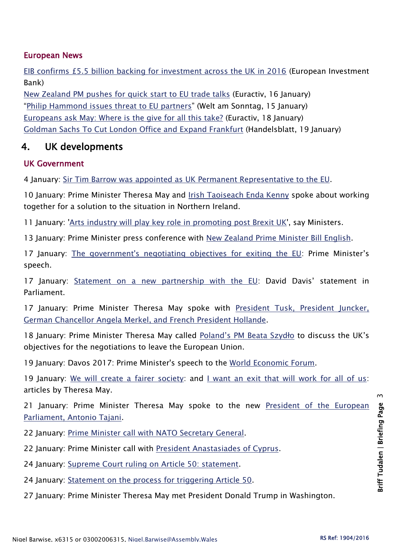## European News

[EIB confirms £5.5 billion backing for investment across the UK in 2016](http://www.eib.org/infocentre/press/releases/all/2017/2017-010-eib-confirms-gbp-5-5-billion-backing-for-investment-across-the-uk-in-2016.htm) (European Investment Bank)

[New Zealand PM pushes for quick start to EU trade talks](http://www.euractiv.com/section/trade-society/news/new-zealand-pm-pushes-for-quick-start-to-eu-trade-talks/) (Euractiv, 16 January) "[Philip Hammond issues threat to EU partners](https://www.welt.de/english-news/article161182946/Philip-Hammond-issues-threat-to-EU-partners.html)" (Welt am Sonntag, 15 January) [Europeans ask May: Where is the give for all this take?](http://www.euractiv.com/section/uk-europe/news/europeans-ask-may-where-is-the-give-for-all-this-take/) (Euractiv, 18 January) [Goldman Sachs To Cut London Office and Expand Frankfurt](https://global.handelsblatt.com/finance/sources-goldman-sachs-to-cut-london-office-and-expand-frankfurt-685628) (Handelsblatt, 19 January)

## 4. UK developments

## UK Government

4 January: [Sir Tim Barrow was appointed as UK Permanent Representative to the EU.](https://www.gov.uk/government/news/sir-tim-barrow-appointed-as-uk-permanent-representative-to-the-eu)

10 January: Prime Minister Theresa May and [Irish Taoiseach Enda Kenny](https://www.gov.uk/government/news/pm-call-with-taoiseach-enda-kenny-10-january-2017) spoke about working together for a solution to the situation in Northern Ireland.

11 January: ['Arts industry will play key role in promoting post Brexit UK'](https://www.gov.uk/government/news/arts-industry-will-play-key-role-in-promoting-post-brexit-britain-say-ministers), say Ministers.

13 January: Prime Minister press conference with [New Zealand Prime Minister Bill English.](https://www.gov.uk/government/speeches/pm-press-conference-with-new-zealand-prime-minister-bill-english-13-january-2017)

17 January: [The government's negotiating objectives for exiting the EU:](https://www.gov.uk/government/speeches/the-governments-negotiating-objectives-for-exiting-the-eu-pm-speech) Prime Minister's speech.

17 January: [Statement on a new partnership with the EU](https://www.gov.uk/government/speeches/statement-on-a-new-partnership-with-the-eu): David Davis' statement in Parliament.

17 January: Prime Minister Theresa May spoke with [President Tusk, President Juncker,](https://www.gov.uk/government/news/pm-calls-with-european-leaders-17-january-2017)  [German Chancellor Angela Merkel, and French President Hollande.](https://www.gov.uk/government/news/pm-calls-with-european-leaders-17-january-2017)

18 January: Prime Minister Theresa May called [Poland's PM Beata Szydł](https://www.gov.uk/government/news/pm-call-with-poland-prime-minister-beata-szydlo-18-january-2016)o to discuss the UK's objectives for the negotiations to leave the European Union.

19 January: Davos 2017: Prime Minister's speech to the [World Economic Forum.](https://www.gov.uk/government/speeches/davos-2017-prime-ministers-speech-to-the-world-economic-forum)

19 January: [We will create a fairer society:](https://www.gov.uk/government/speeches/we-will-create-a-fairer-society-article-by-theresa-may) and [I want an exit that will work for all of us:](https://www.gov.uk/government/speeches/i-want-an-exit-that-will-work-for-all-of-us-article-by-theresa-may) articles by Theresa May.

21 January: Prime Minister Theresa May spoke to the new President of the European [Parliament, Antonio Tajani.](https://www.gov.uk/government/news/pm-call-with-president-tajani-of-the-european-parliament-21-january-2016)

22 January: [Prime Minister call with NATO Secretary General.](https://www.gov.uk/government/news/pm-call-with-nato-secretary-general-22-january-2017)

22 January: Prime Minister call with [President Anastasiades of Cyprus.](https://www.gov.uk/government/news/pm-call-with-president-anastasiades-of-cyprus-22-january-2017)

24 January: [Supreme Court ruling on Article 50: statement.](https://www.gov.uk/government/news/supreme-court-ruling-on-article-50-statement)

24 January: [Statement on the process for triggering Article 50.](https://www.gov.uk/government/speeches/statement-on-the-process-for-triggering-article-50)

27 January: Prime Minister Theresa May met President Donald Trump in Washington.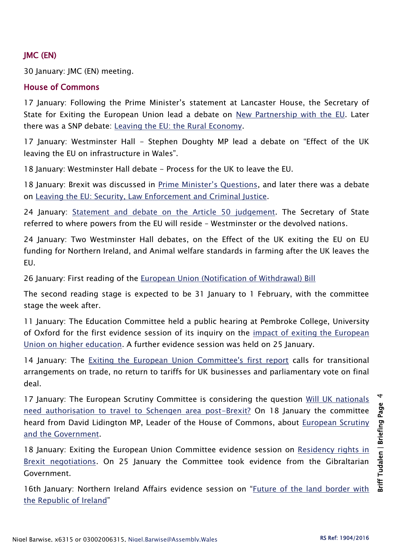## JMC (EN)

30 January: JMC (EN) meeting.

### House of Commons

17 January: Following the Prime Minister's statement at Lancaster House, the Secretary of State for Exiting the European Union lead a debate on [New Partnership with the EU.](https://hansard.parliament.uk/commons/2017-01-17/debates/6431DE1E-FD3D-4930-BF67-3E86346E0F43/NewPartnershipWithTheEU) Later there was a SNP debate: [Leaving the EU: the Rural Economy.](https://hansard.parliament.uk/commons/2017-01-17/debates/BF78EA63-D2E4-405A-ADB1-524DA4D5AF37/LeavingTheEUTheRuralEconomy)

17 January: Westminster Hall - Stephen Doughty MP lead a debate on "Effect of the UK leaving the EU on infrastructure in Wales".

18 January: Westminster Hall debate - Process for the UK to leave the EU.

18 January: Brexit was discussed in [Prime Minister's Questions](https://hansard.parliament.uk/commons/2017-01-18/debates/F0E31FD2-3C8B-4593-B1BB-4A8BF1188DD4/Engagements), and later there was a debate on [Leaving the EU: Security, Law Enforcement and Criminal Justice.](https://hansard.parliament.uk/commons/2017-01-18/debates/D3BD1E6E-0C8F-4294-BFCB-4A542A16BBB5/LeavingTheEUSecurityLawEnforcementAndCriminalJustice)

24 January: [Statement and debate on the Article 50 judgement.](https://hansard.parliament.uk/commons/2017-01-24/debates/D423AEE6-BE36-4935-AD6A-5CA316582A9C/Article50) The Secretary of State referred to where powers from the EU will reside – Westminster or the devolved nations.

24 January: Two Westminster Hall debates, on the Effect of the UK exiting the EU on EU funding for Northern Ireland, and Animal welfare standards in farming after the UK leaves the EU.

26 January: First reading of the [European Union \(Notification of Withdrawal\) Bill](http://services.parliament.uk/bills/2016-17/europeanunionnotificationofwithdrawal.html)

The second reading stage is expected to be 31 January to 1 February, with the committee stage the week after.

11 January: The Education Committee held a public hearing at Pembroke College, University of Oxford for the first evidence session of its inquiry on the [impact of exiting the European](http://www.parliament.uk/business/committees/committees-a-z/commons-select/education-committee/news-parliament-2015/brexit-higher-education-evidence-16-17/)  [Union on higher education.](http://www.parliament.uk/business/committees/committees-a-z/commons-select/education-committee/news-parliament-2015/brexit-higher-education-evidence-16-17/) A further evidence session was held on 25 January.

14 January: The [Exiting the European Union Committee's first report](http://www.publications.parliament.uk/pa/cm201617/cmselect/cmexeu/815/81502.htm) calls for transitional arrangements on trade, no return to tariffs for UK businesses and parliamentary vote on final deal.

17 January: The European Scrutiny Committee is considering the question [Will UK nationals](http://www.parliament.uk/business/committees/committees-a-z/commons-select/european-scrutiny-committee/news-parliament-20151/documents-considered-110117-report-published-16-17/)  [need authorisation to travel to Schengen area post-Brexit?](http://www.parliament.uk/business/committees/committees-a-z/commons-select/european-scrutiny-committee/news-parliament-20151/documents-considered-110117-report-published-16-17/) On 18 January the committee heard from David Lidington MP, Leader of the House of Commons, about [European Scrutiny](http://www.parliament.uk/business/committees/committees-a-z/commons-select/european-scrutiny-committee/news-parliament-20151/governments-approach-european-scrutiny-evidence-16-17/)  [and the Government.](http://www.parliament.uk/business/committees/committees-a-z/commons-select/european-scrutiny-committee/news-parliament-20151/governments-approach-european-scrutiny-evidence-16-17/)

18 January: Exiting the European Union Committee evidence session on [Residency rights in](http://data.parliament.uk/writtenevidence/committeeevidence.svc/evidencedocument/exiting-the-european-union-committee/the-uks-negotiating-objectives-for-its-withdrawal-from-the-eu/oral/45498.html)  [Brexit negotiations.](http://data.parliament.uk/writtenevidence/committeeevidence.svc/evidencedocument/exiting-the-european-union-committee/the-uks-negotiating-objectives-for-its-withdrawal-from-the-eu/oral/45498.html) On 25 January the Committee took evidence from the Gibraltarian Government.

16th January: Northern Ireland Affairs evidence session on "[Future of the land border with](http://www.parliament.uk/business/committees/committees-a-z/commons-select/northern-ireland-affairs-committee/news-parliament-2015/land-border-evidence6-16-17/)  [the Republic of Ireland](http://www.parliament.uk/business/committees/committees-a-z/commons-select/northern-ireland-affairs-committee/news-parliament-2015/land-border-evidence6-16-17/)"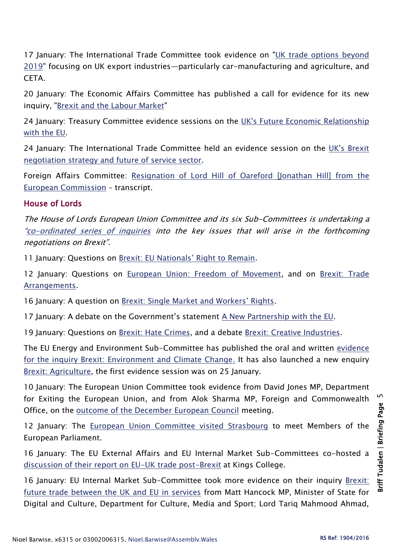17 January: The International Trade Committee took evidence on ["UK trade options beyond](http://www.parliament.uk/business/committees/committees-a-z/commons-select/international-trade-committee/news-parliament-2015/uk-trade-options-beyond-2019-ceta-evidence-16-17/)  [2019"](http://www.parliament.uk/business/committees/committees-a-z/commons-select/international-trade-committee/news-parliament-2015/uk-trade-options-beyond-2019-ceta-evidence-16-17/) focusing on UK export industries—particularly car-manufacturing and agriculture, and CETA.

20 January: The Economic Affairs Committee has published a call for evidence for its new inquiry, ["Brexit and the Labour Market"](http://www.parliament.uk/business/committees/committees-a-z/lords-select/economic-affairs-committee/inquiries/parliament-2015/brexit-and-the-labour-market/)

24 January: Treasury Committee evidence sessions on the [UK's Future Economic Relationship](http://www.parliament.uk/business/committees/committees-a-z/commons-select/treasury-committee/inquiries1/parliament-2015/economic-relationship-with-eu-16-17/)  [with the EU.](http://www.parliament.uk/business/committees/committees-a-z/commons-select/treasury-committee/inquiries1/parliament-2015/economic-relationship-with-eu-16-17/)

24 January: The International Trade Committee held an evidence session on the [UK's Brexit](http://www.parliament.uk/business/committees/committees-a-z/commons-select/international-trade-committee/news-parliament-2015/uk-trade-options-beyond-2019-cahn-evidence-16-17/)  [negotiation strategy and future of service sector.](http://www.parliament.uk/business/committees/committees-a-z/commons-select/international-trade-committee/news-parliament-2015/uk-trade-options-beyond-2019-cahn-evidence-16-17/)

Foreign Affairs Committee: [Resignation of Lord Hill of Oareford \[Jonathan Hill\] from](http://data.parliament.uk/writtenevidence/committeeevidence.svc/evidencedocument/foreign-affairs-committee/resignation-of-lord-hill-of-oareford-from-the-european-commission/oral/45107.html) the [European Commission](http://data.parliament.uk/writtenevidence/committeeevidence.svc/evidencedocument/foreign-affairs-committee/resignation-of-lord-hill-of-oareford-from-the-european-commission/oral/45107.html) – transcript.

## House of Lords

The House of Lords European Union Committee and its six Sub-Committees is undertaking a "[co-ordinated series of inquiries](http://www.parliament.uk/business/committees/committees-a-z/lords-select/eu-select-committee-/news-parliament-2015/co-ordinated-inquries-launch/) into the key issues that will arise in the forthcoming negotiations on Brexit".

11 January: Questions on [Brexit: EU Nationals' Right to Remain](https://hansard.parliament.uk/Lords/2017-01-11/debates/CAA35C35-3B5A-4867-8E0B-513C7CAC7F06/BrexitEUNationals%E2%80%99RightToRemain).

12 January: Questions on [European Union: Freedom of Movement,](https://hansard.parliament.uk/Lords/2017-01-12/debates/32338C40-B6C5-4118-AF0F-9370346F8C82/EuropeanUnionFreedomOfMovement) and on Brexit: Trade [Arrangements.](https://hansard.parliament.uk/Lords/2017-01-12/debates/0B81E477-9712-44C8-B6FC-D0E7F66B5EFC/BrexitTradeArrangements)

16 January: A question on [Brexit: Single Market and Workers' Rights](https://hansard.parliament.uk/Lords/2017-01-16/debates/BBCA4E98-9D14-4AA1-B7C1-827A40313F5B/BrexitSingleMarketAndWorkers%E2%80%99Rights).

17 January: A debate on the Government's statement [A New Partnership with the EU.](https://hansard.parliament.uk/Lords/2017-01-17/debates/0FDE98CF-10F0-44F0-86E8-A8F6401C8193/ANewPartnershipWithTheEU)

19 January: Questions on [Brexit: Hate Crimes,](https://hansard.parliament.uk/Lords/2017-01-19/debates/8A2985D4-328C-44E1-9D8C-7549E921D1B7/BrexitHateCrimes) and a debate [Brexit: Creative Industries.](https://hansard.parliament.uk/Lords/2017-01-19/debates/DEA1C16F-C321-402A-8288-A5ACD58D7142/BrexitCreativeIndustries)

The EU Energy and Environment Sub-Committee has published the oral and written evidence [for the inquiry Brexit: Environment and Climate Change.](http://www.parliament.uk/documents/lords-committees/eu-energy-environment-subcommittee/Brexit-environment-climate-change/Brexit-Environment-Climate-Change-Written-Oral-Evidence-Volume.pdf) It has also launched a new enquiry [Brexit: Agriculture,](http://www.parliament.uk/business/committees/committees-a-z/lords-select/eu-energy-environment-subcommittee/inquiries/parliament-2015/brexit-agriculture/) the first evidence session was on 25 January.

10 January: The European Union Committee took evidence from David Jones MP, Department for Exiting the European Union, and from Alok Sharma MP, Foreign and Commonwealth Office, on the [outcome of the December European Council](http://data.parliament.uk/writtenevidence/committeeevidence.svc/evidencedocument/european-union-committee/post-european-council-evidence/oral/45186.html) meeting.

12 January: The [European Union Committee visited Strasbourg](http://www.parliament.uk/business/committees/committees-a-z/lords-select/eu-select-committee-/news-parliament-2015/committee-visit-strasbourg/) to meet Members of the European Parliament.

16 January: The EU External Affairs and EU Internal Market Sub-Committees co-hosted a [discussion of their report on EU-UK trade post-Brexit](http://www.parliament.uk/business/committees/committees-a-z/lords-select/eu-external-affairs-subcommittee/news-parliament-2015/discussion-on-eu-uk-trade-post-brexit/) at Kings College.

16 January: EU Internal Market Sub-Committee took more evidence on their inquiry [Brexit:](http://www.parliament.uk/business/committees/committees-a-z/lords-select/eu-internal-market-subcommittee/news-parliament-2015/proffesional-and-business-services-industry-evidence-session/)  [future trade between the UK and EU in services](http://www.parliament.uk/business/committees/committees-a-z/lords-select/eu-internal-market-subcommittee/news-parliament-2015/proffesional-and-business-services-industry-evidence-session/) from Matt Hancock MP, Minister of State for Digital and Culture, Department for Culture, Media and Sport; Lord Tariq Mahmood Ahmad,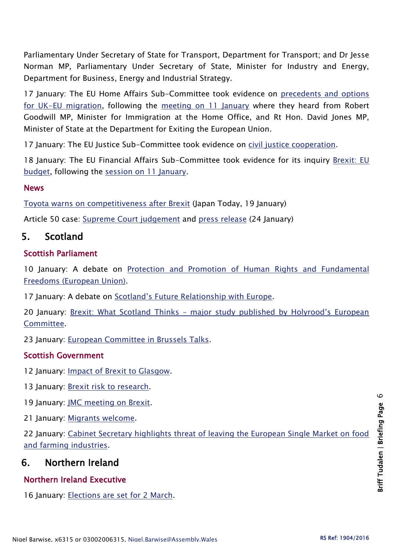Parliamentary Under Secretary of State for Transport, Department for Transport; and Dr Jesse Norman MP, Parliamentary Under Secretary of State, Minister for Industry and Energy, Department for Business, Energy and Industrial Strategy.

17 January: The EU Home Affairs Sub-Committee took evidence on precedents and options [for UK-EU migration,](http://www.parliament.uk/business/committees/committees-a-z/lords-select/eu-home-affairs-subcommittee/news-parliament-2015/mac-think-tanks-migration-policy/) following the [meeting on 11 January](http://www.parliament.uk/business/committees/committees-a-z/lords-select/eu-home-affairs-subcommittee/news-parliament-2015/ministers-questioned-eu-migration-policy/) where they heard from Robert Goodwill MP, Minister for Immigration at the Home Office, and Rt Hon. David Jones MP, Minister of State at the Department for Exiting the European Union.

17 January: The EU Justice Sub-Committee took evidence on [civil justice cooperation.](http://www.parliament.uk/business/committees/committees-a-z/lords-select/eu-justice-subcommittee/news-parliament-2015/brexit-cjc-senior-judges/)

18 January: The EU Financial Affairs Sub-Committee took evidence for its inquiry [Brexit: EU](http://www.parliament.uk/business/committees/committees-a-z/lords-select/eu-financial-affairs-subcommittee/news-parliament-2015/experts-questioned-eu-budget/)  [budget,](http://www.parliament.uk/business/committees/committees-a-z/lords-select/eu-financial-affairs-subcommittee/news-parliament-2015/experts-questioned-eu-budget/) following the [session on 11 January.](http://www.parliament.uk/business/committees/committees-a-z/lords-select/eu-financial-affairs-subcommittee/news-parliament-2015/lawyers-questioned-eu-budget/)

#### **News**

[Toyota warns on competitiveness after Brexit](https://www.japantoday.com/category/business/view/toyota-warns-on-competitiveness-after-brexit-report) (Japan Today, 19 January)

Article 50 case: [Supreme Court judgement](https://www.supremecourt.uk/cases/docs/uksc-2016-0196-judgment.pdf) and [press release](https://www.supremecourt.uk/cases/docs/uksc-2016-0196-press-summary.pdf) (24 January)

# 5. Scotland

## Scottish Parliament

10 January: A debate on Protection and Promotion of Human Rights and Fundamental [Freedoms \(European Union\).](http://www.parliament.scot/parliamentarybusiness/report.aspx?r=10722&i=98397)

17 January: A debate on [Scotland's Future Relationship with Europe](http://www.parliament.scot/parliamentarybusiness/report.aspx?r=10733&i=98477).

20 January: Brexit: What Scotland Thinks – [major study published by Holyrood's European](http://www.parliament.scot/newsandmediacentre/103139.aspx)  [Committee.](http://www.parliament.scot/newsandmediacentre/103139.aspx)

23 January: [European Committee in Brussels Talks.](http://www.parliament.scot/newsandmediacentre/103168.aspx)

## Scottish Government

12 Ianuary: [Impact of Brexit to Glasgow.](http://news.gov.scot/news/impact-of-brexit-to-glasgow)

13 January: [Brexit risk to research.](http://news.gov.scot/news/brexit-risk-to-research)

19 January: [JMC meeting on Brexit.](http://news.gov.scot/news/jmc-meeting-on-brexit)

21 January: [Migrants welcome.](http://news.gov.scot/news/migrants-welcome)

22 January: [Cabinet Secretary highlights threat of leaving the European Single Market on food](http://news.gov.scot/news/brexit-food-and-farming)  [and farming industries.](http://news.gov.scot/news/brexit-food-and-farming)

# 6. Northern Ireland

# Northern Ireland Executive

16 January: [Elections are set for 2 March.](https://www.gov.uk/government/news/secretary-of-state-sets-date-for-election)